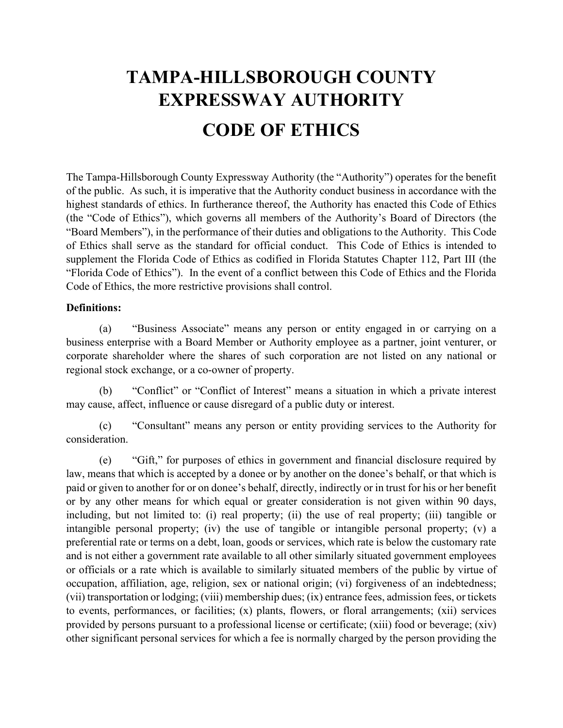# **TAMPA-HILLSBOROUGH COUNTY EXPRESSWAY AUTHORITY CODE OF ETHICS**

The Tampa-Hillsborough County Expressway Authority (the "Authority") operates for the benefit of the public. As such, it is imperative that the Authority conduct business in accordance with the highest standards of ethics. In furtherance thereof, the Authority has enacted this Code of Ethics (the "Code of Ethics"), which governs all members of the Authority's Board of Directors (the "Board Members"), in the performance of their duties and obligations to the Authority. This Code of Ethics shall serve as the standard for official conduct. This Code of Ethics is intended to supplement the Florida Code of Ethics as codified in Florida Statutes Chapter 112, Part III (the "Florida Code of Ethics"). In the event of a conflict between this Code of Ethics and the Florida Code of Ethics, the more restrictive provisions shall control.

#### **Definitions:**

(a) "Business Associate" means any person or entity engaged in or carrying on a business enterprise with a Board Member or Authority employee as a partner, joint venturer, or corporate shareholder where the shares of such corporation are not listed on any national or regional stock exchange, or a co-owner of property.

(b) "Conflict" or "Conflict of Interest" means a situation in which a private interest may cause, affect, influence or cause disregard of a public duty or interest.

(c) "Consultant" means any person or entity providing services to the Authority for consideration.

(e) "Gift," for purposes of ethics in government and financial disclosure required by law, means that which is accepted by a donee or by another on the donee's behalf, or that which is paid or given to another for or on donee's behalf, directly, indirectly or in trust for his or her benefit or by any other means for which equal or greater consideration is not given within 90 days, including, but not limited to: (i) real property; (ii) the use of real property; (iii) tangible or intangible personal property; (iv) the use of tangible or intangible personal property; (v) a preferential rate or terms on a debt, loan, goods or services, which rate is below the customary rate and is not either a government rate available to all other similarly situated government employees or officials or a rate which is available to similarly situated members of the public by virtue of occupation, affiliation, age, religion, sex or national origin; (vi) forgiveness of an indebtedness; (vii) transportation or lodging; (viii) membership dues; (ix) entrance fees, admission fees, or tickets to events, performances, or facilities; (x) plants, flowers, or floral arrangements; (xii) services provided by persons pursuant to a professional license or certificate; (xiii) food or beverage; (xiv) other significant personal services for which a fee is normally charged by the person providing the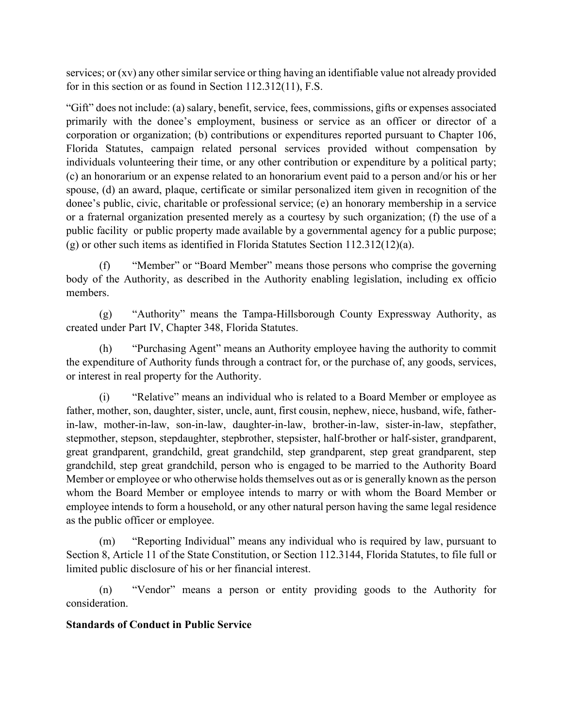services; or (xv) any other similar service or thing having an identifiable value not already provided for in this section or as found in Section 112.312(11), F.S.

"Gift" does not include: (a) salary, benefit, service, fees, commissions, gifts or expenses associated primarily with the donee's employment, business or service as an officer or director of a corporation or organization; (b) contributions or expenditures reported pursuant to Chapter 106, Florida Statutes, campaign related personal services provided without compensation by individuals volunteering their time, or any other contribution or expenditure by a political party; (c) an honorarium or an expense related to an honorarium event paid to a person and/or his or her spouse, (d) an award, plaque, certificate or similar personalized item given in recognition of the donee's public, civic, charitable or professional service; (e) an honorary membership in a service or a fraternal organization presented merely as a courtesy by such organization; (f) the use of a public facility or public property made available by a governmental agency for a public purpose; (g) or other such items as identified in Florida Statutes Section 112.312(12)(a).

(f) "Member" or "Board Member" means those persons who comprise the governing body of the Authority, as described in the Authority enabling legislation, including ex officio members.

(g) "Authority" means the Tampa-Hillsborough County Expressway Authority, as created under Part IV, Chapter 348, Florida Statutes.

(h) "Purchasing Agent" means an Authority employee having the authority to commit the expenditure of Authority funds through a contract for, or the purchase of, any goods, services, or interest in real property for the Authority.

(i) "Relative" means an individual who is related to a Board Member or employee as father, mother, son, daughter, sister, uncle, aunt, first cousin, nephew, niece, husband, wife, fatherin-law, mother-in-law, son-in-law, daughter-in-law, brother-in-law, sister-in-law, stepfather, stepmother, stepson, stepdaughter, stepbrother, stepsister, half-brother or half-sister, grandparent, great grandparent, grandchild, great grandchild, step grandparent, step great grandparent, step grandchild, step great grandchild, person who is engaged to be married to the Authority Board Member or employee or who otherwise holds themselves out as or is generally known as the person whom the Board Member or employee intends to marry or with whom the Board Member or employee intends to form a household, or any other natural person having the same legal residence as the public officer or employee.

(m) "Reporting Individual" means any individual who is required by law, pursuant to Section 8, Article 11 of the State Constitution, or Section 112.3144, Florida Statutes, to file full or limited public disclosure of his or her financial interest.

(n) "Vendor" means a person or entity providing goods to the Authority for consideration.

## **Standards of Conduct in Public Service**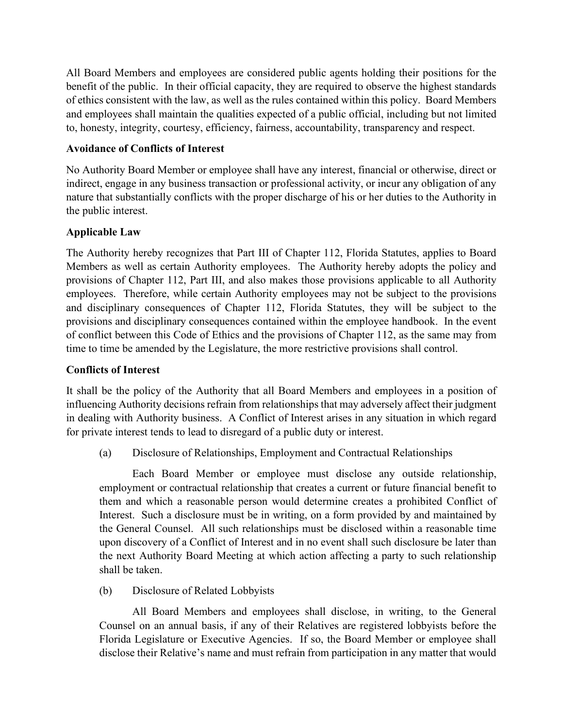All Board Members and employees are considered public agents holding their positions for the benefit of the public. In their official capacity, they are required to observe the highest standards of ethics consistent with the law, as well as the rules contained within this policy. Board Members and employees shall maintain the qualities expected of a public official, including but not limited to, honesty, integrity, courtesy, efficiency, fairness, accountability, transparency and respect.

# **Avoidance of Conflicts of Interest**

No Authority Board Member or employee shall have any interest, financial or otherwise, direct or indirect, engage in any business transaction or professional activity, or incur any obligation of any nature that substantially conflicts with the proper discharge of his or her duties to the Authority in the public interest.

# **Applicable Law**

The Authority hereby recognizes that Part III of Chapter 112, Florida Statutes, applies to Board Members as well as certain Authority employees. The Authority hereby adopts the policy and provisions of Chapter 112, Part III, and also makes those provisions applicable to all Authority employees. Therefore, while certain Authority employees may not be subject to the provisions and disciplinary consequences of Chapter 112, Florida Statutes, they will be subject to the provisions and disciplinary consequences contained within the employee handbook. In the event of conflict between this Code of Ethics and the provisions of Chapter 112, as the same may from time to time be amended by the Legislature, the more restrictive provisions shall control.

## **Conflicts of Interest**

It shall be the policy of the Authority that all Board Members and employees in a position of influencing Authority decisions refrain from relationships that may adversely affect their judgment in dealing with Authority business. A Conflict of Interest arises in any situation in which regard for private interest tends to lead to disregard of a public duty or interest.

(a) Disclosure of Relationships, Employment and Contractual Relationships

Each Board Member or employee must disclose any outside relationship, employment or contractual relationship that creates a current or future financial benefit to them and which a reasonable person would determine creates a prohibited Conflict of Interest. Such a disclosure must be in writing, on a form provided by and maintained by the General Counsel. All such relationships must be disclosed within a reasonable time upon discovery of a Conflict of Interest and in no event shall such disclosure be later than the next Authority Board Meeting at which action affecting a party to such relationship shall be taken.

(b) Disclosure of Related Lobbyists

All Board Members and employees shall disclose, in writing, to the General Counsel on an annual basis, if any of their Relatives are registered lobbyists before the Florida Legislature or Executive Agencies. If so, the Board Member or employee shall disclose their Relative's name and must refrain from participation in any matter that would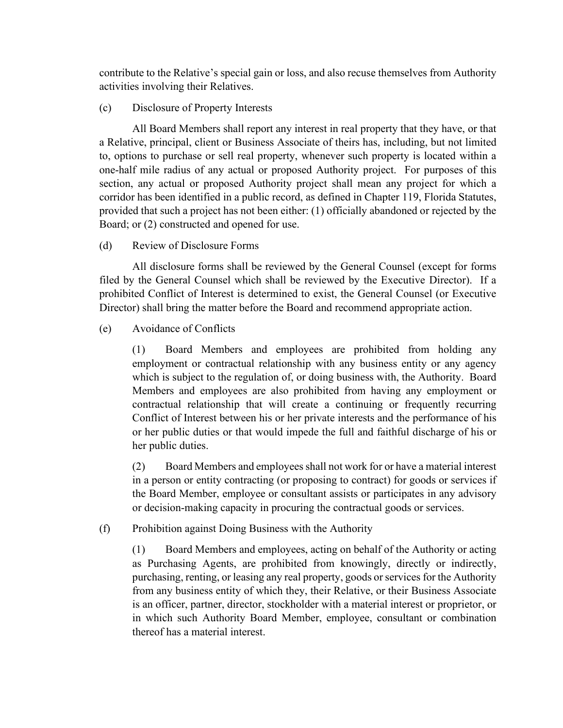contribute to the Relative's special gain or loss, and also recuse themselves from Authority activities involving their Relatives.

#### (c) Disclosure of Property Interests

All Board Members shall report any interest in real property that they have, or that a Relative, principal, client or Business Associate of theirs has, including, but not limited to, options to purchase or sell real property, whenever such property is located within a one-half mile radius of any actual or proposed Authority project. For purposes of this section, any actual or proposed Authority project shall mean any project for which a corridor has been identified in a public record, as defined in Chapter 119, Florida Statutes, provided that such a project has not been either: (1) officially abandoned or rejected by the Board; or (2) constructed and opened for use.

#### (d) Review of Disclosure Forms

All disclosure forms shall be reviewed by the General Counsel (except for forms filed by the General Counsel which shall be reviewed by the Executive Director). If a prohibited Conflict of Interest is determined to exist, the General Counsel (or Executive Director) shall bring the matter before the Board and recommend appropriate action.

#### (e) Avoidance of Conflicts

(1) Board Members and employees are prohibited from holding any employment or contractual relationship with any business entity or any agency which is subject to the regulation of, or doing business with, the Authority. Board Members and employees are also prohibited from having any employment or contractual relationship that will create a continuing or frequently recurring Conflict of Interest between his or her private interests and the performance of his or her public duties or that would impede the full and faithful discharge of his or her public duties.

(2) Board Members and employees shall not work for or have a material interest in a person or entity contracting (or proposing to contract) for goods or services if the Board Member, employee or consultant assists or participates in any advisory or decision-making capacity in procuring the contractual goods or services.

#### (f) Prohibition against Doing Business with the Authority

(1) Board Members and employees, acting on behalf of the Authority or acting as Purchasing Agents, are prohibited from knowingly, directly or indirectly, purchasing, renting, or leasing any real property, goods or services for the Authority from any business entity of which they, their Relative, or their Business Associate is an officer, partner, director, stockholder with a material interest or proprietor, or in which such Authority Board Member, employee, consultant or combination thereof has a material interest.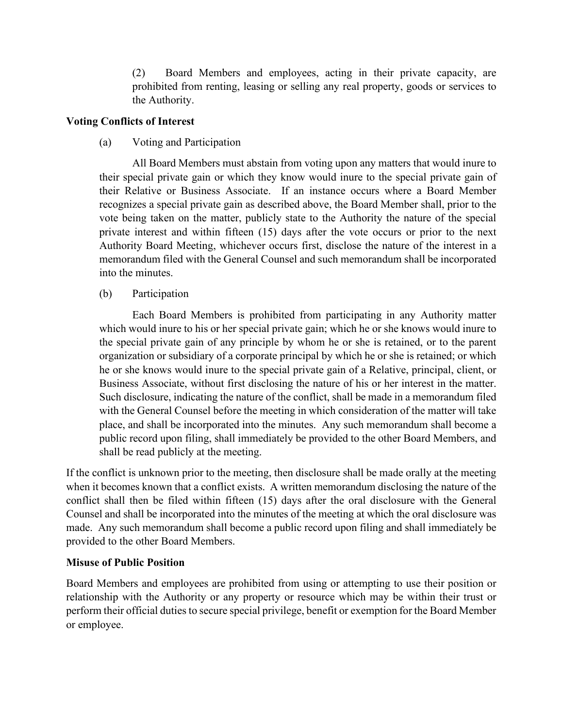(2) Board Members and employees, acting in their private capacity, are prohibited from renting, leasing or selling any real property, goods or services to the Authority.

### **Voting Conflicts of Interest**

(a) Voting and Participation

All Board Members must abstain from voting upon any matters that would inure to their special private gain or which they know would inure to the special private gain of their Relative or Business Associate. If an instance occurs where a Board Member recognizes a special private gain as described above, the Board Member shall, prior to the vote being taken on the matter, publicly state to the Authority the nature of the special private interest and within fifteen (15) days after the vote occurs or prior to the next Authority Board Meeting, whichever occurs first, disclose the nature of the interest in a memorandum filed with the General Counsel and such memorandum shall be incorporated into the minutes.

(b) Participation

Each Board Members is prohibited from participating in any Authority matter which would inure to his or her special private gain; which he or she knows would inure to the special private gain of any principle by whom he or she is retained, or to the parent organization or subsidiary of a corporate principal by which he or she is retained; or which he or she knows would inure to the special private gain of a Relative, principal, client, or Business Associate, without first disclosing the nature of his or her interest in the matter. Such disclosure, indicating the nature of the conflict, shall be made in a memorandum filed with the General Counsel before the meeting in which consideration of the matter will take place, and shall be incorporated into the minutes. Any such memorandum shall become a public record upon filing, shall immediately be provided to the other Board Members, and shall be read publicly at the meeting.

If the conflict is unknown prior to the meeting, then disclosure shall be made orally at the meeting when it becomes known that a conflict exists. A written memorandum disclosing the nature of the conflict shall then be filed within fifteen (15) days after the oral disclosure with the General Counsel and shall be incorporated into the minutes of the meeting at which the oral disclosure was made. Any such memorandum shall become a public record upon filing and shall immediately be provided to the other Board Members.

#### **Misuse of Public Position**

Board Members and employees are prohibited from using or attempting to use their position or relationship with the Authority or any property or resource which may be within their trust or perform their official duties to secure special privilege, benefit or exemption for the Board Member or employee.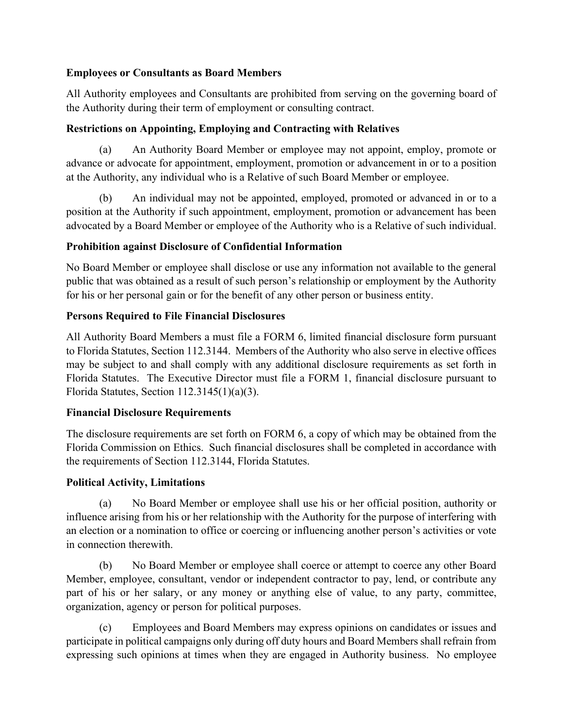# **Employees or Consultants as Board Members**

All Authority employees and Consultants are prohibited from serving on the governing board of the Authority during their term of employment or consulting contract.

# **Restrictions on Appointing, Employing and Contracting with Relatives**

(a) An Authority Board Member or employee may not appoint, employ, promote or advance or advocate for appointment, employment, promotion or advancement in or to a position at the Authority, any individual who is a Relative of such Board Member or employee.

(b) An individual may not be appointed, employed, promoted or advanced in or to a position at the Authority if such appointment, employment, promotion or advancement has been advocated by a Board Member or employee of the Authority who is a Relative of such individual.

# **Prohibition against Disclosure of Confidential Information**

No Board Member or employee shall disclose or use any information not available to the general public that was obtained as a result of such person's relationship or employment by the Authority for his or her personal gain or for the benefit of any other person or business entity.

# **Persons Required to File Financial Disclosures**

All Authority Board Members a must file a FORM 6, limited financial disclosure form pursuant to Florida Statutes, Section 112.3144. Members of the Authority who also serve in elective offices may be subject to and shall comply with any additional disclosure requirements as set forth in Florida Statutes. The Executive Director must file a FORM 1, financial disclosure pursuant to Florida Statutes, Section 112.3145(1)(a)(3).

## **Financial Disclosure Requirements**

The disclosure requirements are set forth on FORM 6, a copy of which may be obtained from the Florida Commission on Ethics. Such financial disclosures shall be completed in accordance with the requirements of Section 112.3144, Florida Statutes.

## **Political Activity, Limitations**

(a) No Board Member or employee shall use his or her official position, authority or influence arising from his or her relationship with the Authority for the purpose of interfering with an election or a nomination to office or coercing or influencing another person's activities or vote in connection therewith.

(b) No Board Member or employee shall coerce or attempt to coerce any other Board Member, employee, consultant, vendor or independent contractor to pay, lend, or contribute any part of his or her salary, or any money or anything else of value, to any party, committee, organization, agency or person for political purposes.

(c) Employees and Board Members may express opinions on candidates or issues and participate in political campaigns only during off duty hours and Board Members shall refrain from expressing such opinions at times when they are engaged in Authority business. No employee